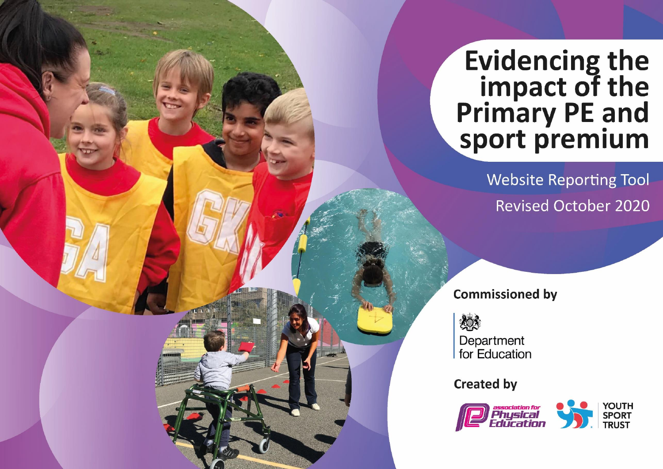# **Evidencing the<br>impact of the<br>Primary PE and<br>sport premium**

**Website Reporting Tool Revised October 2020** 

**Commissioned by** 

热

Department for Education

**Created by** 

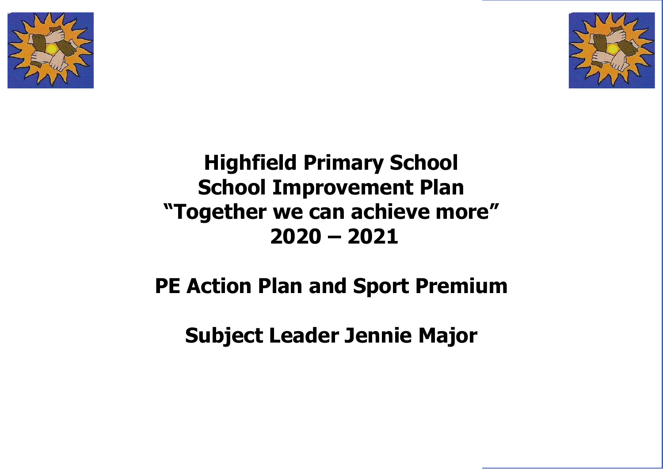



## **Highfield Primary School School Improvement Plan "Together we can achieve more" 2020 – 2021**

# **PE Action Plan and Sport Premium**

**Subject Leader Jennie Major**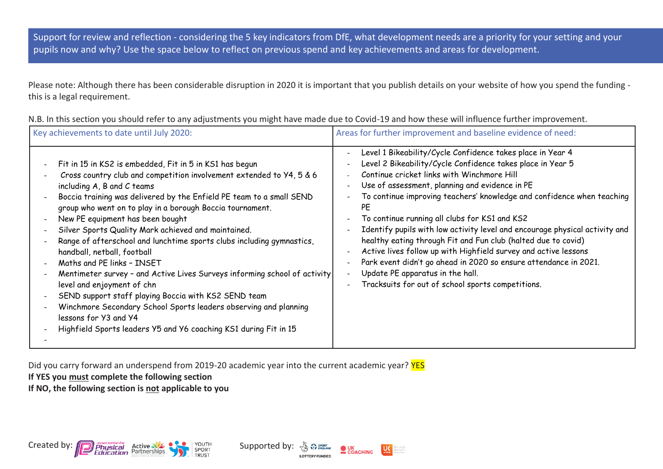Support for review and reflection - considering the 5 key indicators from DfE, what development needs are a priority for your setting and your pupils now and why? Use the space below to reflect on previous spend and key achievements and areas for development.

Please note: Although there has been considerable disruption in 2020 it is important that you publish details on your website of how you spend the funding this is a legal requirement.

| Key achievements to date until July 2020:                                                                                                                                                                                                                                                                                                                                                                                                                                                                                                                                                                                                                                                                                                                                                                                                                               | Areas for further improvement and baseline evidence of need:                                                                                                                                                                                                                                                                                                                                                                                                                                                                                                                                                                                                                                                                                                               |
|-------------------------------------------------------------------------------------------------------------------------------------------------------------------------------------------------------------------------------------------------------------------------------------------------------------------------------------------------------------------------------------------------------------------------------------------------------------------------------------------------------------------------------------------------------------------------------------------------------------------------------------------------------------------------------------------------------------------------------------------------------------------------------------------------------------------------------------------------------------------------|----------------------------------------------------------------------------------------------------------------------------------------------------------------------------------------------------------------------------------------------------------------------------------------------------------------------------------------------------------------------------------------------------------------------------------------------------------------------------------------------------------------------------------------------------------------------------------------------------------------------------------------------------------------------------------------------------------------------------------------------------------------------------|
| Fit in 15 in KS2 is embedded, Fit in 5 in KS1 has begun<br>Cross country club and competition involvement extended to Y4, 5 & 6<br>including A, B and C teams<br>Boccia training was delivered by the Enfield PE team to a small SEND<br>group who went on to play in a borough Boccia tournament.<br>New PE equipment has been bought<br>Silver Sports Quality Mark achieved and maintained.<br>Range of afterschool and lunchtime sports clubs including gymnastics,<br>handball, netball, football<br>Maths and PE links - INSET<br>Mentimeter survey - and Active Lives Surveys informing school of activity<br>level and enjoyment of chn<br>SEND support staff playing Boccia with KS2 SEND team<br>Winchmore Secondary School Sports leaders observing and planning<br>lessons for Y3 and Y4<br>Highfield Sports leaders Y5 and Y6 coaching KS1 during Fit in 15 | Level 1 Bikeability/Cycle Confidence takes place in Year 4<br>۰<br>Level 2 Bikeability/Cycle Confidence takes place in Year 5<br>$\overline{\phantom{0}}$<br>Continue cricket links with Winchmore Hill<br>Use of assessment, planning and evidence in PE<br>To continue improving teachers' knowledge and confidence when teaching<br>PE<br>To continue running all clubs for KS1 and KS2<br>Identify pupils with low activity level and encourage physical activity and<br>healthy eating through Fit and Fun club (halted due to covid)<br>Active lives follow up with Highfield survey and active lessons<br>Park event didn't go ahead in 2020 so ensure attendance in 2021.<br>Update PE apparatus in the hall.<br>Tracksuits for out of school sports competitions. |

N.B. In this section you should refer to any adjustments you might have made due to Covid-19 and how these will influence further improvement.

Did you carry forward an underspend from 2019-20 academic year into the current academic year? **YES** 

### **If YES you must complete the following section**

**If NO, the following section is not applicable to you**



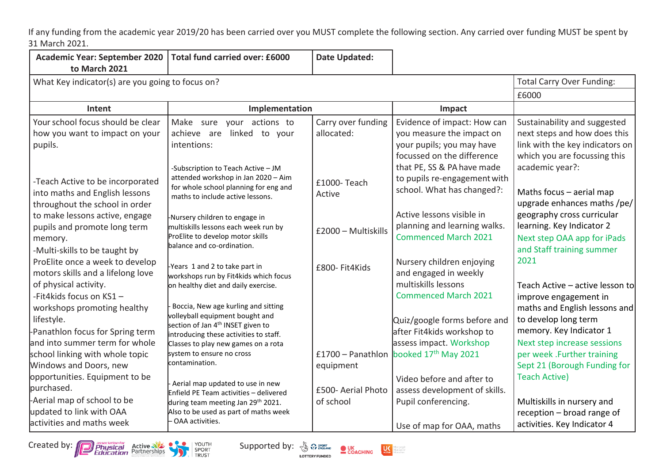If any funding from the academic year 2019/20 has been carried over you MUST complete the following section. Any carried over funding MUST be spent by 31 March 2021.

| <b>Academic Year: September 2020</b><br>to March 2021                                                                                | Total fund carried over: £6000                                                                                                                                                                           | <b>Date Updated:</b>             |                                                                                                                     |                                                                                                                                 |  |
|--------------------------------------------------------------------------------------------------------------------------------------|----------------------------------------------------------------------------------------------------------------------------------------------------------------------------------------------------------|----------------------------------|---------------------------------------------------------------------------------------------------------------------|---------------------------------------------------------------------------------------------------------------------------------|--|
| What Key indicator(s) are you going to focus on?                                                                                     |                                                                                                                                                                                                          |                                  |                                                                                                                     | <b>Total Carry Over Funding:</b>                                                                                                |  |
|                                                                                                                                      | £6000                                                                                                                                                                                                    |                                  |                                                                                                                     |                                                                                                                                 |  |
| Intent                                                                                                                               | Implementation                                                                                                                                                                                           |                                  | Impact                                                                                                              |                                                                                                                                 |  |
| Your school focus should be clear<br>how you want to impact on your<br>pupils.                                                       | Make sure your actions to<br>linked to your<br>achieve are<br>intentions:                                                                                                                                | Carry over funding<br>allocated: | Evidence of impact: How can<br>you measure the impact on<br>your pupils; you may have<br>focussed on the difference | Sustainability and suggested<br>next steps and how does this<br>link with the key indicators on<br>which you are focussing this |  |
| -Teach Active to be incorporated<br>into maths and English lessons<br>throughout the school in order                                 | -Subscription to Teach Active - JM<br>attended workshop in Jan 2020 - Aim<br>for whole school planning for eng and<br>maths to include active lessons.                                                   | £1000-Teach<br>Active            | that PE, SS & PA have made<br>to pupils re-engagement with<br>school. What has changed?:                            | academic year?:<br>Maths focus - aerial map<br>upgrade enhances maths /pe/                                                      |  |
| to make lessons active, engage<br>pupils and promote long term<br>memory.<br>-Multi-skills to be taught by                           | -Nursery children to engage in<br>multiskills lessons each week run by<br>ProElite to develop motor skills<br>balance and co-ordination.                                                                 | £2000 - Multiskills              | Active lessons visible in<br>planning and learning walks.<br><b>Commenced March 2021</b>                            | geography cross curricular<br>learning. Key Indicator 2<br>Next step OAA app for iPads<br>and Staff training summer             |  |
| ProElite once a week to develop<br>motors skills and a lifelong love<br>of physical activity.<br>-Fit4kids focus on KS1-             | -Years 1 and 2 to take part in<br>workshops run by Fit4kids which focus<br>on healthy diet and daily exercise.                                                                                           | £800- Fit4Kids                   | Nursery children enjoying<br>and engaged in weekly<br>multiskills lessons<br><b>Commenced March 2021</b>            | 2021<br>Teach Active - active lesson to<br>improve engagement in                                                                |  |
| workshops promoting healthy<br>lifestyle.<br>-Panathlon focus for Spring term<br>and into summer term for whole                      | Boccia, New age kurling and sitting<br>volleyball equipment bought and<br>section of Jan 4 <sup>th</sup> INSET given to<br>introducing these activities to staff.<br>Classes to play new games on a rota |                                  | Quiz/google forms before and<br>after Fit4kids workshop to<br>assess impact. Workshop                               | maths and English lessons and<br>to develop long term<br>memory. Key Indicator 1<br>Next step increase sessions                 |  |
| school linking with whole topic<br>Windows and Doors, new                                                                            | system to ensure no cross<br>contamination.                                                                                                                                                              | £1700 - Panathlon<br>equipment   | booked 17 <sup>th</sup> May 2021                                                                                    | per week .Further training<br>Sept 21 (Borough Funding for                                                                      |  |
| opportunities. Equipment to be<br>purchased.<br>-Aerial map of school to be<br>updated to link with OAA<br>activities and maths week | Aerial map updated to use in new<br>Enfield PE Team activities - delivered<br>during team meeting Jan 29 <sup>th</sup> 2021.<br>Also to be used as part of maths week<br>- OAA activities.               | £500- Aerial Photo<br>of school  | Video before and after to<br>assess development of skills.<br>Pupil conferencing.<br>Use of map for OAA, maths      | <b>Teach Active)</b><br>Multiskills in nursery and<br>reception - broad range of<br>activities. Key Indicator 4                 |  |



**LOTTERY FUNDED** 



dore people<br>dore active<br>dore of ten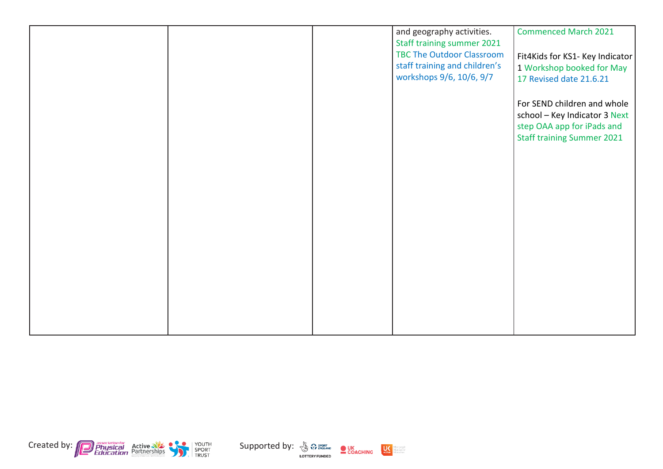|  | and geography activities.<br>Staff training summer 2021<br><b>TBC The Outdoor Classroom</b><br>staff training and children's<br>workshops 9/6, 10/6, 9/7 | <b>Commenced March 2021</b><br>Fit4Kids for KS1- Key Indicator<br>1 Workshop booked for May<br>17 Revised date 21.6.21<br>For SEND children and whole<br>school - Key Indicator 3 Next<br>step OAA app for iPads and<br><b>Staff training Summer 2021</b> |
|--|----------------------------------------------------------------------------------------------------------------------------------------------------------|-----------------------------------------------------------------------------------------------------------------------------------------------------------------------------------------------------------------------------------------------------------|
|  |                                                                                                                                                          |                                                                                                                                                                                                                                                           |





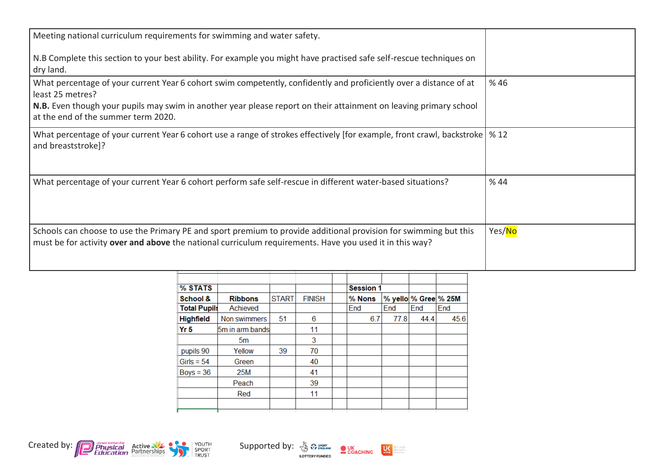| Meeting national curriculum requirements for swimming and water safety.                                                                                                                                                     |        |
|-----------------------------------------------------------------------------------------------------------------------------------------------------------------------------------------------------------------------------|--------|
| N.B Complete this section to your best ability. For example you might have practised safe self-rescue techniques on<br>dry land.                                                                                            |        |
| What percentage of your current Year 6 cohort swim competently, confidently and proficiently over a distance of at<br>least 25 metres?                                                                                      | %46    |
| N.B. Even though your pupils may swim in another year please report on their attainment on leaving primary school<br>at the end of the summer term 2020.                                                                    |        |
| What percentage of your current Year 6 cohort use a range of strokes effectively [for example, front crawl, backstroke   % 12<br>and breaststroke]?                                                                         |        |
| What percentage of your current Year 6 cohort perform safe self-rescue in different water-based situations?                                                                                                                 | %44    |
| Schools can choose to use the Primary PE and sport premium to provide additional provision for swimming but this<br>must be for activity over and above the national curriculum requirements. Have you used it in this way? | Yes/No |

| % STATS             |                  |              |               | <b>Session 1</b> |      |                      |      |
|---------------------|------------------|--------------|---------------|------------------|------|----------------------|------|
| School &            | <b>Ribbons</b>   | <b>START</b> | <b>FINISH</b> | % Nons           |      | % yello % Gree % 25M |      |
| <b>Total Pupils</b> | Achieved         |              |               | End              | End  | End                  | End  |
| <b>Highfield</b>    | Non swimmers     | 51           | 6             | 6.7              | 77.8 | 44.4                 | 45.6 |
| Yr 5                | 5m in arm bandsl |              | 11            |                  |      |                      |      |
|                     | 5m               |              | 3             |                  |      |                      |      |
| pupils 90           | Yellow           | 39           | 70            |                  |      |                      |      |
| Girls = $54$        | Green            |              | 40            |                  |      |                      |      |
| $Boys = 36$         | 25M              |              | 41            |                  |      |                      |      |
|                     | Peach            |              | 39            |                  |      |                      |      |
|                     | Red              |              | 11            |                  |      |                      |      |
|                     |                  |              |               |                  |      |                      |      |
|                     |                  |              |               |                  |      |                      |      |



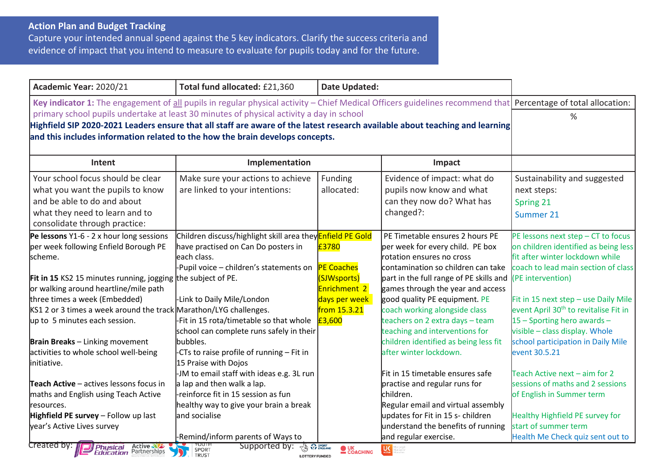### **Action Plan and Budget Tracking**

Capture your intended annual spend against the 5 key indicators. Clarify the success criteria and evidence of impact that you intend to measure to evaluate for pupils today and for the future.

| Academic Year: 2020/21                                                                                                                                                                                                                                                                                                                                                                                                                                                     | Total fund allocated: £21,360                                                                                                                                                                                                                                                                                                                                                                                          | <b>Date Updated:</b>                                                                                 |                                                                                                                                                                                                                                                                                                                                                                                                                                                                      |                                                                                                                                                                                                                                                                                                                                                                                                                                 |
|----------------------------------------------------------------------------------------------------------------------------------------------------------------------------------------------------------------------------------------------------------------------------------------------------------------------------------------------------------------------------------------------------------------------------------------------------------------------------|------------------------------------------------------------------------------------------------------------------------------------------------------------------------------------------------------------------------------------------------------------------------------------------------------------------------------------------------------------------------------------------------------------------------|------------------------------------------------------------------------------------------------------|----------------------------------------------------------------------------------------------------------------------------------------------------------------------------------------------------------------------------------------------------------------------------------------------------------------------------------------------------------------------------------------------------------------------------------------------------------------------|---------------------------------------------------------------------------------------------------------------------------------------------------------------------------------------------------------------------------------------------------------------------------------------------------------------------------------------------------------------------------------------------------------------------------------|
| Key indicator 1: The engagement of all pupils in regular physical activity – Chief Medical Officers guidelines recommend that Percentage of total allocation:<br>primary school pupils undertake at least 30 minutes of physical activity a day in school<br>Highfield SIP 2020-2021 Leaders ensure that all staff are aware of the latest research available about teaching and learning<br>and this includes information related to the how the brain develops concepts. | %                                                                                                                                                                                                                                                                                                                                                                                                                      |                                                                                                      |                                                                                                                                                                                                                                                                                                                                                                                                                                                                      |                                                                                                                                                                                                                                                                                                                                                                                                                                 |
| Intent                                                                                                                                                                                                                                                                                                                                                                                                                                                                     | Implementation                                                                                                                                                                                                                                                                                                                                                                                                         |                                                                                                      | Impact                                                                                                                                                                                                                                                                                                                                                                                                                                                               |                                                                                                                                                                                                                                                                                                                                                                                                                                 |
| Your school focus should be clear<br>what you want the pupils to know<br>and be able to do and about<br>what they need to learn and to<br>consolidate through practice:                                                                                                                                                                                                                                                                                                    | Make sure your actions to achieve<br>are linked to your intentions:                                                                                                                                                                                                                                                                                                                                                    | Funding<br>allocated:                                                                                | Evidence of impact: what do<br>pupils now know and what<br>can they now do? What has<br>changed?:                                                                                                                                                                                                                                                                                                                                                                    | Sustainability and suggested<br>next steps:<br>Spring 21<br>Summer 21                                                                                                                                                                                                                                                                                                                                                           |
| Pe lessons $Y1-6 - 2x$ hour long sessions<br>per week following Enfield Borough PE<br>scheme.<br><b>Fit in 15</b> KS2 15 minutes running, jogging the subject of PE.<br>or walking around heartline/mile path<br>three times a week (Embedded)<br>KS1 2 or 3 times a week around the track Marathon/LYG challenges.<br>up to 5 minutes each session.<br><b>Brain Breaks</b> - Linking movement<br>activities to whole school well-being<br>linitiative.                    | Children discuss/highlight skill area they <b>Enfield PE Gold</b><br>have practised on Can Do posters in<br>leach class.<br>-Pupil voice - children's statements on<br>-Link to Daily Mile/London<br>-Fit in 15 rota/timetable so that whole<br>school can complete runs safely in their<br>bubbles.<br>-CTs to raise profile of running - Fit in<br>15 Praise with Dojos<br>-JM to email staff with ideas e.g. 3L run | £3780<br><b>PE Coaches</b><br>(SJWsports)<br>Enrichment 2<br>days per week<br>from 15.3.21<br>E3,600 | PE Timetable ensures 2 hours PE<br>per week for every child. PE box<br>rotation ensures no cross<br>contamination so children can take<br>part in the full range of PE skills and<br>games through the year and access<br>good quality PE equipment. PE<br>coach working alongside class<br>teachers on 2 extra days - team<br>teaching and interventions for<br>children identified as being less fit<br>after winter lockdown.<br>Fit in 15 timetable ensures safe | PE lessons next step - CT to focus<br>on children identified as being less<br>fit after winter lockdown while<br>coach to lead main section of class<br>(PE intervention)<br>Fit in 15 next step - use Daily Mile<br>event April 30 <sup>th</sup> to revitalise Fit in<br>15 - Sporting hero awards -<br>visible - class display. Whole<br>school participation in Daily Mile<br>event 30.5.21<br>Teach Active next - aim for 2 |
| <b>Teach Active</b> – actives lessons focus in<br>maths and English using Teach Active<br>resources.<br>Highfield PE survey - Follow up last<br>year's Active Lives survey<br>Created by:<br><b>Physical Active</b><br><i>Education</i> Partnerships                                                                                                                                                                                                                       | a lap and then walk a lap.<br>-reinforce fit in 15 session as fun<br>healthy way to give your brain a break<br>and socialise<br>-Remind/inform parents of Ways to<br>Supported by:<br><b>EN SPORT</b><br>SPORT                                                                                                                                                                                                         | <b>OUK</b><br>COACHING                                                                               | practise and regular runs for<br>children.<br>Regular email and virtual assembly<br>updates for Fit in 15 s- children<br>understand the benefits of running<br>and regular exercise.                                                                                                                                                                                                                                                                                 | sessions of maths and 2 sessions<br>of English in Summer term<br>Healthy Highfield PE survey for<br>start of summer term<br>Health Me Check quiz sent out to                                                                                                                                                                                                                                                                    |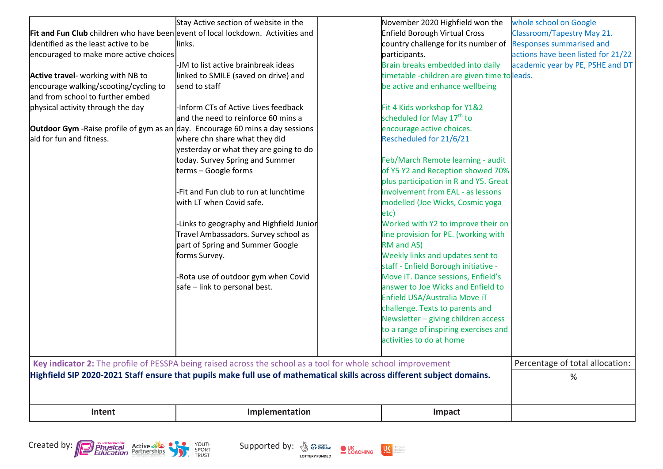|                                                                                                                         | Stay Active section of website in the                                                                        |  | November 2020 Highfield won the              | whole school on Google             |  |
|-------------------------------------------------------------------------------------------------------------------------|--------------------------------------------------------------------------------------------------------------|--|----------------------------------------------|------------------------------------|--|
| Fit and Fun Club children who have been event of local lockdown. Activities and                                         |                                                                                                              |  | Enfield Borough Virtual Cross                | <b>Classroom/Tapestry May 21.</b>  |  |
| identified as the least active to be                                                                                    | links.                                                                                                       |  | country challenge for its number of          | <b>Responses summarised and</b>    |  |
| encouraged to make more active choices                                                                                  |                                                                                                              |  | participants.                                | actions have been listed for 21/22 |  |
|                                                                                                                         | -JM to list active brainbreak ideas                                                                          |  | Brain breaks embedded into daily             | academic year by PE, PSHE and DT   |  |
| Active travel- working with NB to                                                                                       | linked to SMILE (saved on drive) and                                                                         |  | timetable -children are given time to leads. |                                    |  |
| encourage walking/scooting/cycling to                                                                                   | send to staff                                                                                                |  | be active and enhance wellbeing              |                                    |  |
| and from school to further embed                                                                                        |                                                                                                              |  |                                              |                                    |  |
| physical activity through the day                                                                                       | -Inform CTs of Active Lives feedback                                                                         |  | Fit 4 Kids workshop for Y1&2                 |                                    |  |
|                                                                                                                         | and the need to reinforce 60 mins a                                                                          |  | scheduled for May 17 <sup>th</sup> to        |                                    |  |
| <b>Outdoor Gym</b> -Raise profile of gym as an day. Encourage 60 mins a day sessions                                    |                                                                                                              |  | encourage active choices.                    |                                    |  |
| aid for fun and fitness.                                                                                                | where chn share what they did                                                                                |  | Rescheduled for 21/6/21                      |                                    |  |
|                                                                                                                         | yesterday or what they are going to do                                                                       |  |                                              |                                    |  |
|                                                                                                                         | today. Survey Spring and Summer                                                                              |  | Feb/March Remote learning - audit            |                                    |  |
|                                                                                                                         | terms - Google forms                                                                                         |  | of Y5 Y2 and Reception showed 70%            |                                    |  |
|                                                                                                                         |                                                                                                              |  | plus participation in R and Y5. Great        |                                    |  |
|                                                                                                                         | -Fit and Fun club to run at lunchtime                                                                        |  | involvement from EAL - as lessons            |                                    |  |
|                                                                                                                         | with LT when Covid safe.                                                                                     |  | modelled (Joe Wicks, Cosmic yoga             |                                    |  |
|                                                                                                                         |                                                                                                              |  | etc)                                         |                                    |  |
|                                                                                                                         | -Links to geography and Highfield Junior                                                                     |  | Worked with Y2 to improve their on           |                                    |  |
|                                                                                                                         | Travel Ambassadors. Survey school as                                                                         |  | line provision for PE. (working with         |                                    |  |
|                                                                                                                         | part of Spring and Summer Google                                                                             |  | RM and AS)                                   |                                    |  |
|                                                                                                                         | forms Survey.                                                                                                |  | Weekly links and updates sent to             |                                    |  |
|                                                                                                                         |                                                                                                              |  | staff - Enfield Borough initiative -         |                                    |  |
|                                                                                                                         | -Rota use of outdoor gym when Covid                                                                          |  | Move iT. Dance sessions, Enfield's           |                                    |  |
|                                                                                                                         | safe – link to personal best.                                                                                |  | answer to Joe Wicks and Enfield to           |                                    |  |
|                                                                                                                         |                                                                                                              |  | Enfield USA/Australia Move iT                |                                    |  |
|                                                                                                                         |                                                                                                              |  | challenge. Texts to parents and              |                                    |  |
|                                                                                                                         |                                                                                                              |  | Newsletter - giving children access          |                                    |  |
|                                                                                                                         |                                                                                                              |  | to a range of inspiring exercises and        |                                    |  |
|                                                                                                                         |                                                                                                              |  | activities to do at home                     |                                    |  |
|                                                                                                                         |                                                                                                              |  |                                              | Percentage of total allocation:    |  |
|                                                                                                                         | Key indicator 2: The profile of PESSPA being raised across the school as a tool for whole school improvement |  |                                              |                                    |  |
| Highfield SIP 2020-2021 Staff ensure that pupils make full use of mathematical skills across different subject domains. |                                                                                                              |  |                                              | %                                  |  |
|                                                                                                                         |                                                                                                              |  |                                              |                                    |  |
| Intent                                                                                                                  | Implementation                                                                                               |  | Impact                                       |                                    |  |
|                                                                                                                         |                                                                                                              |  |                                              |                                    |  |



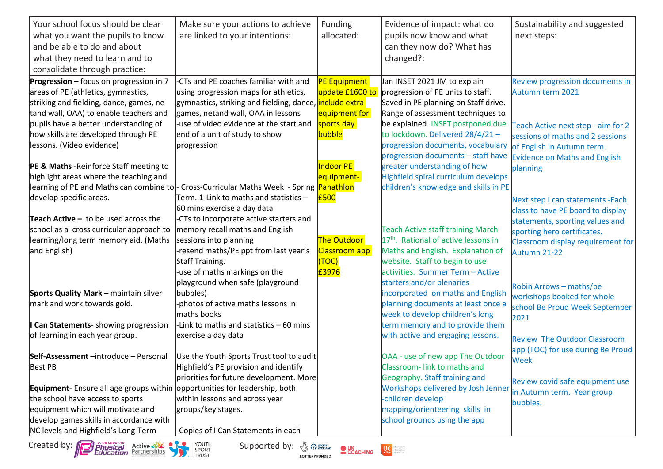| Your school focus should be clear                                                         | Make sure your actions to achieve                                                                                          | Funding                | Evidence of impact: what do                                        | Sustainability and suggested         |
|-------------------------------------------------------------------------------------------|----------------------------------------------------------------------------------------------------------------------------|------------------------|--------------------------------------------------------------------|--------------------------------------|
| what you want the pupils to know                                                          | are linked to your intentions:                                                                                             | allocated:             | pupils now know and what                                           | next steps:                          |
| and be able to do and about                                                               |                                                                                                                            |                        | can they now do? What has                                          |                                      |
| what they need to learn and to                                                            |                                                                                                                            |                        | changed?:                                                          |                                      |
| consolidate through practice:                                                             |                                                                                                                            |                        |                                                                    |                                      |
| Progression - focus on progression in 7                                                   | CTs and PE coaches familiar with and                                                                                       | <b>PE Equipment</b>    | Jan INSET 2021 JM to explain                                       | Review progression documents in      |
| areas of PE (athletics, gymnastics,                                                       | using progression maps for athletics,                                                                                      | update £1600 to        | progression of PE units to staff.                                  | Autumn term 2021                     |
| striking and fielding, dance, games, ne                                                   | gymnastics, striking and fielding, dance, <mark>include extra</mark>                                                       |                        | Saved in PE planning on Staff drive.                               |                                      |
| tand wall, OAA) to enable teachers and                                                    | games, netand wall, OAA in lessons                                                                                         | equipment for          | Range of assessment techniques to                                  |                                      |
| pupils have a better understanding of                                                     | -use of video evidence at the start and                                                                                    | sports day             | be explained. INSET postponed due                                  | Teach Active next step - aim for 2   |
| how skills are developed through PE                                                       | end of a unit of study to show                                                                                             | bubble                 | to lockdown. Delivered 28/4/21-                                    | sessions of maths and 2 sessions     |
| lessons. (Video evidence)                                                                 | progression                                                                                                                |                        | progression documents, vocabulary                                  | of English in Autumn term.           |
|                                                                                           |                                                                                                                            |                        | progression documents - staff have                                 | <b>Evidence on Maths and English</b> |
| PE & Maths - Reinforce Staff meeting to                                                   |                                                                                                                            | Indoor PE              | greater understanding of how                                       | planning                             |
| highlight areas where the teaching and                                                    |                                                                                                                            | equipment-             | Highfield spiral curriculum develops                               |                                      |
| learning of PE and Maths can combine to  - Cross-Curricular Maths Week - Spring Panathlon |                                                                                                                            |                        | children's knowledge and skills in PE                              |                                      |
| develop specific areas.                                                                   | Term. 1-Link to maths and statistics -                                                                                     | £500                   |                                                                    | Next step I can statements - Each    |
|                                                                                           | 60 mins exercise a day data                                                                                                |                        |                                                                    | class to have PE board to display    |
| <b>Teach Active -</b> to be used across the                                               | -CTs to incorporate active starters and                                                                                    |                        |                                                                    | statements, sporting values and      |
| school as a cross curricular approach to                                                  | memory recall maths and English                                                                                            |                        | <b>Teach Active staff training March</b>                           | sporting hero certificates.          |
| learning/long term memory aid. (Maths                                                     | sessions into planning                                                                                                     | <b>The Outdoor</b>     | 17 <sup>th</sup> . Rational of active lessons in                   | Classroom display requirement for    |
| and English)                                                                              | resend maths/PE ppt from last year's                                                                                       | Classroom app          | Maths and English. Explanation of                                  | Autumn 21-22                         |
|                                                                                           | Staff Training.                                                                                                            | (TOC)                  | website. Staff to begin to use                                     |                                      |
|                                                                                           | use of maths markings on the                                                                                               | £3976                  | activities. Summer Term - Active                                   |                                      |
|                                                                                           | playground when safe (playground                                                                                           |                        | starters and/or plenaries                                          | Robin Arrows - maths/pe              |
| <b>Sports Quality Mark</b> - maintain silver                                              | bubbles)                                                                                                                   |                        | incorporated on maths and English                                  | workshops booked for whole           |
| mark and work towards gold.                                                               | photos of active maths lessons in                                                                                          |                        | planning documents at least once a                                 | school Be Proud Week September       |
|                                                                                           | maths books                                                                                                                |                        | week to develop children's long                                    | 2021                                 |
| Can Statements- showing progression                                                       | -Link to maths and statistics - 60 mins                                                                                    |                        | term memory and to provide them                                    |                                      |
| of learning in each year group.                                                           | exercise a day data                                                                                                        |                        | with active and engaging lessons.                                  | <b>Review The Outdoor Classroom</b>  |
|                                                                                           |                                                                                                                            |                        |                                                                    | app (TOC) for use during Be Proud    |
| Self-Assessment -introduce - Personal                                                     | Use the Youth Sports Trust tool to audit                                                                                   |                        | OAA - use of new app The Outdoor                                   | Week                                 |
| <b>Best PB</b>                                                                            | Highfield's PE provision and identify                                                                                      |                        | Classroom-link to maths and                                        |                                      |
|                                                                                           | priorities for future development. More                                                                                    |                        | Geography. Staff training and                                      | Review covid safe equipment use      |
| <b>Equipment</b> - Ensure all age groups within opportunities for leadership, both        |                                                                                                                            |                        | Workshops delivered by Josh Jenner                                 | in Autumn term. Year group           |
| the school have access to sports                                                          | within lessons and across year                                                                                             |                        | -children develop                                                  | bubbles.                             |
| equipment which will motivate and                                                         | groups/key stages.                                                                                                         |                        | mapping/orienteering skills in                                     |                                      |
| develop games skills in accordance with                                                   |                                                                                                                            |                        | school grounds using the app                                       |                                      |
| NC levels and Highfield's Long-Term                                                       | -Copies of I Can Statements in each                                                                                        |                        |                                                                    |                                      |
| <b>Created by:</b> Physical Active and SPORT SPORT Education Partnerships                 | Supported by: $\frac{1}{\sqrt{2}}$ $\frac{1}{\sqrt{2}}$ $\frac{1}{\sqrt{2}}$ $\frac{1}{\sqrt{2}}$<br><b>LOTTERY FUNDED</b> | <b>OUK</b><br>COACHING | $\bigcup_{\text{active}}$<br>larepeople<br>lareactive<br>lareaften |                                      |







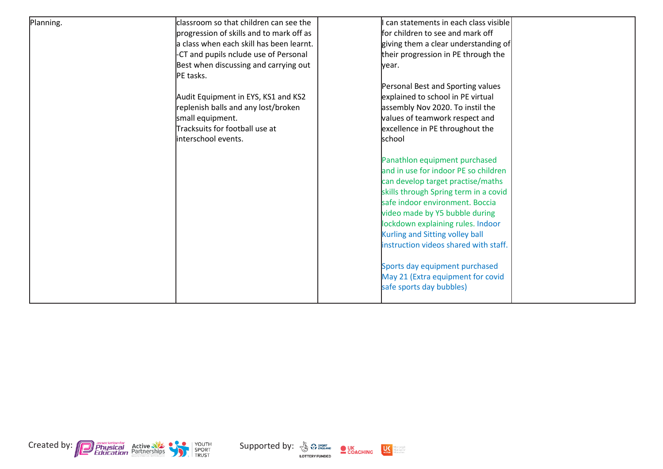| Planning. | classroom so that children can see the   | can statements in each class visible                                                                   |  |
|-----------|------------------------------------------|--------------------------------------------------------------------------------------------------------|--|
|           | progression of skills and to mark off as | for children to see and mark off                                                                       |  |
|           | a class when each skill has been learnt. | giving them a clear understanding of                                                                   |  |
|           | -CT and pupils nclude use of Personal    | their progression in PE through the                                                                    |  |
|           | Best when discussing and carrying out    | lvear.                                                                                                 |  |
|           | PE tasks.                                |                                                                                                        |  |
|           |                                          | Personal Best and Sporting values                                                                      |  |
|           | Audit Equipment in EYS, KS1 and KS2      | explained to school in PE virtual                                                                      |  |
|           | replenish balls and any lost/broken      | assembly Nov 2020. To instil the                                                                       |  |
|           | small equipment.                         | values of teamwork respect and                                                                         |  |
|           | Tracksuits for football use at           | excellence in PE throughout the                                                                        |  |
|           | interschool events.                      | school                                                                                                 |  |
|           |                                          |                                                                                                        |  |
|           |                                          | Panathlon equipment purchased                                                                          |  |
|           |                                          | and in use for indoor PE so children                                                                   |  |
|           |                                          | can develop target practise/maths                                                                      |  |
|           |                                          | skills through Spring term in a covid                                                                  |  |
|           |                                          | safe indoor environment. Boccia                                                                        |  |
|           |                                          |                                                                                                        |  |
|           |                                          | lockdown explaining rules. Indoor                                                                      |  |
|           |                                          |                                                                                                        |  |
|           |                                          | instruction videos shared with staff.                                                                  |  |
|           |                                          |                                                                                                        |  |
|           |                                          | Sports day equipment purchased                                                                         |  |
|           |                                          |                                                                                                        |  |
|           |                                          | safe sports day bubbles)                                                                               |  |
|           |                                          |                                                                                                        |  |
|           |                                          | video made by Y5 bubble during<br>Kurling and Sitting volley ball<br>May 21 (Extra equipment for covid |  |





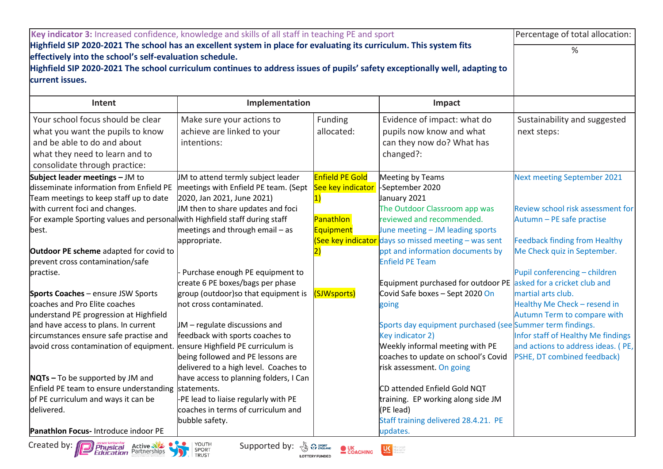| Key indicator 3: Increased confidence, knowledge and skills of all staff in teaching PE and sport                                                                                                                                                                                                                                | Percentage of total allocation:                                                                                                                                           |                                                                                    |                                                                                                                                                                                                     |                                                                                                                         |
|----------------------------------------------------------------------------------------------------------------------------------------------------------------------------------------------------------------------------------------------------------------------------------------------------------------------------------|---------------------------------------------------------------------------------------------------------------------------------------------------------------------------|------------------------------------------------------------------------------------|-----------------------------------------------------------------------------------------------------------------------------------------------------------------------------------------------------|-------------------------------------------------------------------------------------------------------------------------|
| Highfield SIP 2020-2021 The school has an excellent system in place for evaluating its curriculum. This system fits<br>effectively into the school's self-evaluation schedule.<br>Highfield SIP 2020-2021 The school curriculum continues to address issues of pupils' safety exceptionally well, adapting to<br>current issues. | %                                                                                                                                                                         |                                                                                    |                                                                                                                                                                                                     |                                                                                                                         |
| Intent                                                                                                                                                                                                                                                                                                                           | Implementation                                                                                                                                                            |                                                                                    | Impact                                                                                                                                                                                              |                                                                                                                         |
| Your school focus should be clear<br>what you want the pupils to know<br>and be able to do and about<br>what they need to learn and to<br>consolidate through practice:                                                                                                                                                          | Make sure your actions to<br>achieve are linked to your<br>intentions:                                                                                                    | Funding<br>allocated:                                                              | Evidence of impact: what do<br>pupils now know and what<br>can they now do? What has<br>changed?:                                                                                                   | Sustainability and suggested<br>next steps:                                                                             |
| Subject leader meetings - JM to<br>disseminate information from Enfield PE<br>Team meetings to keep staff up to date                                                                                                                                                                                                             | JM to attend termly subject leader<br>meetings with Enfield PE team. (Sept<br>2020, Jan 2021, June 2021)                                                                  | <b>Enfield PE Gold</b><br>See key indicator                                        | Meeting by Teams<br>-September 2020<br>January 2021                                                                                                                                                 | <b>Next meeting September 2021</b>                                                                                      |
| with current foci and changes.<br>For example Sporting values and personal with Highfield staff during staff<br> best.                                                                                                                                                                                                           | IM then to share updates and foci<br>meetings and through email - as<br>appropriate.                                                                                      | Panathlon<br><b>Equipment</b><br>See key indicator                                 | The Outdoor Classroom app was<br>reviewed and recommended.<br>June meeting - JM leading sports<br>days so missed meeting $-$ was sent                                                               | Review school risk assessment for<br>Autumn - PE safe practise<br>Feedback finding from Healthy                         |
| <b>Outdoor PE scheme</b> adapted for covid to<br>prevent cross contamination/safe<br>practise.                                                                                                                                                                                                                                   | Purchase enough PE equipment to                                                                                                                                           |                                                                                    | ppt and information documents by<br><b>Enfield PE Team</b>                                                                                                                                          | Me Check quiz in September.<br>Pupil conferencing - children                                                            |
| <b>Sports Coaches</b> - ensure JSW Sports<br>coaches and Pro Elite coaches<br>understand PE progression at Highfield<br>and have access to plans. In current<br>circumstances ensure safe practise and                                                                                                                           | create 6 PE boxes/bags per phase<br>group (outdoor)so that equipment is<br>lnot cross contaminated.<br>$JM$ – regulate discussions and<br>feedback with sports coaches to | (SJWsports)                                                                        | Equipment purchased for outdoor PE asked for a cricket club and<br>Covid Safe boxes - Sept 2020 On<br>going<br>Sports day equipment purchased (see Summer term findings.<br><b>Key indicator 2)</b> | martial arts club.<br>Healthy Me Check - resend in<br>Autumn Term to compare with<br>Infor staff of Healthy Me findings |
| avoid cross contamination of equipment.                                                                                                                                                                                                                                                                                          | ensure Highfield PE curriculum is<br>being followed and PE lessons are<br>delivered to a high level. Coaches to                                                           |                                                                                    | Weekly informal meeting with PE<br>coaches to update on school's Covid<br>risk assessment. On going                                                                                                 | and actions to address ideas. (PE,<br>PSHE, DT combined feedback)                                                       |
| $NQTs - To$ be supported by JM and<br>Enfield PE team to ensure understanding statements.<br>of PE curriculum and ways it can be<br>delivered.<br><b>Panathion Focus-Introduce indoor PE</b>                                                                                                                                     | have access to planning folders, I Can<br>-PE lead to liaise regularly with PE<br>coaches in terms of curriculum and<br>bubble safety.                                    |                                                                                    | CD attended Enfield Gold NQT<br>training. EP working along side JM<br>(PE lead)<br>Staff training delivered 28.4.21. PE<br>updates.                                                                 |                                                                                                                         |
| Created by: <b>[7]</b> <i>Physical</i><br><b>Physical Active Strategy</b><br><b>Education</b> Partnerships                                                                                                                                                                                                                       | O YOUTH<br>Supported by:<br>SPORT<br><b>TRUST</b>                                                                                                                         | <b>BULLER SPORT</b><br>$\bullet$ UK<br>$\bullet$ COACHING<br><b>LOTTERY FUNDED</b> | dore people<br>dore active<br>dore often                                                                                                                                                            |                                                                                                                         |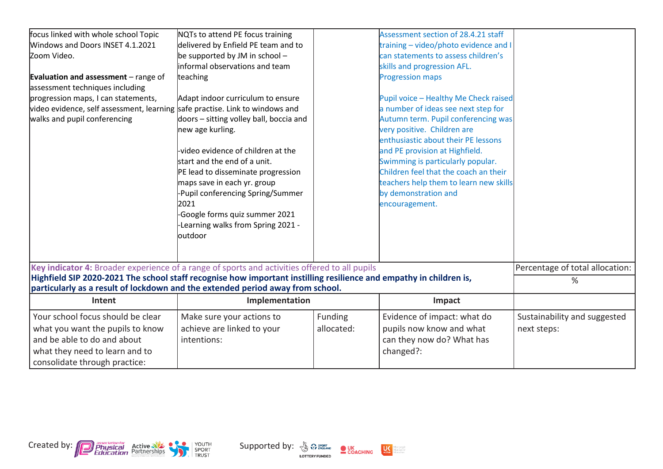| focus linked with whole school Topic                                                                               | NQTs to attend PE focus training        |            | Assessment section of 28.4.21 staff    |                                 |
|--------------------------------------------------------------------------------------------------------------------|-----------------------------------------|------------|----------------------------------------|---------------------------------|
| Windows and Doors INSET 4.1.2021                                                                                   | delivered by Enfield PE team and to     |            | training - video/photo evidence and I  |                                 |
| Zoom Video.                                                                                                        | be supported by JM in school $-$        |            | can statements to assess children's    |                                 |
|                                                                                                                    | informal observations and team          |            | skills and progression AFL.            |                                 |
| <b>Evaluation and assessment</b> $-$ range of                                                                      | teaching                                |            | <b>Progression maps</b>                |                                 |
| assessment techniques including                                                                                    |                                         |            |                                        |                                 |
| progression maps, I can statements,                                                                                | Adapt indoor curriculum to ensure       |            | Pupil voice - Healthy Me Check raised  |                                 |
| video evidence, self assessment, learning safe practise. Link to windows and                                       |                                         |            | a number of ideas see next step for    |                                 |
| walks and pupil conferencing                                                                                       | doors - sitting volley ball, boccia and |            | Autumn term. Pupil conferencing was    |                                 |
|                                                                                                                    | new age kurling.                        |            | very positive. Children are            |                                 |
|                                                                                                                    |                                         |            | enthusiastic about their PE lessons    |                                 |
|                                                                                                                    | video evidence of children at the       |            | and PE provision at Highfield.         |                                 |
|                                                                                                                    | start and the end of a unit.            |            | Swimming is particularly popular.      |                                 |
|                                                                                                                    | PE lead to disseminate progression      |            | Children feel that the coach an their  |                                 |
|                                                                                                                    | maps save in each yr. group             |            | teachers help them to learn new skills |                                 |
|                                                                                                                    | Pupil conferencing Spring/Summer        |            | by demonstration and                   |                                 |
|                                                                                                                    | 2021                                    |            | encouragement.                         |                                 |
|                                                                                                                    | -Google forms quiz summer 2021          |            |                                        |                                 |
|                                                                                                                    | Learning walks from Spring 2021 -       |            |                                        |                                 |
|                                                                                                                    | loutdoor                                |            |                                        |                                 |
|                                                                                                                    |                                         |            |                                        |                                 |
|                                                                                                                    |                                         |            |                                        |                                 |
| Key indicator 4: Broader experience of a range of sports and activities offered to all pupils                      |                                         |            |                                        | Percentage of total allocation: |
| Highfield SIP 2020-2021 The school staff recognise how important instilling resilience and empathy in children is, |                                         |            |                                        | %                               |
| particularly as a result of lockdown and the extended period away from school.                                     |                                         |            |                                        |                                 |
| Intent                                                                                                             | Implementation                          |            | Impact                                 |                                 |
| Your school focus should be clear                                                                                  | Make sure your actions to               | Funding    | Evidence of impact: what do            | Sustainability and suggested    |
| what you want the pupils to know                                                                                   | achieve are linked to your              | allocated: | pupils now know and what               | next steps:                     |
| and be able to do and about                                                                                        | intentions:                             |            | can they now do? What has              |                                 |
| what they need to learn and to                                                                                     |                                         |            | changed?:                              |                                 |
| consolidate through practice:                                                                                      |                                         |            |                                        |                                 |



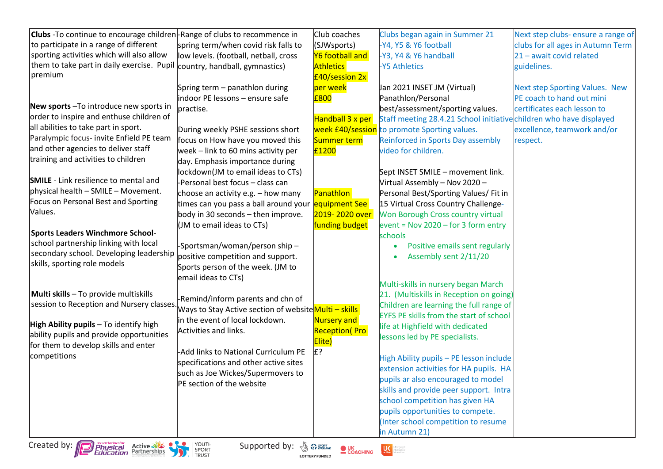| <b>Clubs</b> -To continue to encourage children - Range of clubs to recommence in |                                                                     | Club coaches                                                | Clubs began again in Summer 21                                                    | Next step clubs- ensure a range of |
|-----------------------------------------------------------------------------------|---------------------------------------------------------------------|-------------------------------------------------------------|-----------------------------------------------------------------------------------|------------------------------------|
| to participate in a range of different                                            | spring term/when covid risk falls to                                | (SJWsports)                                                 | -Y4, Y5 & Y6 football                                                             | clubs for all ages in Autumn Term  |
| sporting activities which will also allow                                         | low levels. (football, netball, cross                               | Y6 football and                                             | -Y3, Y4 & Y6 handball                                                             | 21 - await covid related           |
| them to take part in daily exercise. Pupil                                        | country, handball, gymnastics)                                      | <b>Athletics</b>                                            | -Y5 Athletics                                                                     | guidelines.                        |
| premium                                                                           |                                                                     | £40/session 2x                                              |                                                                                   |                                    |
|                                                                                   | Spring term - panathlon during                                      | per week                                                    | Jan 2021 INSET JM (Virtual)                                                       | Next step Sporting Values. New     |
|                                                                                   | indoor PE lessons - ensure safe                                     | £800                                                        | Panathlon/Personal                                                                | PE coach to hand out mini          |
| New sports - To introduce new sports in                                           | practise.                                                           |                                                             | best/assessment/sporting values.                                                  | certificates each lesson to        |
| order to inspire and enthuse children of                                          |                                                                     | Handball 3 x per                                            | Staff meeting 28.4.21 School initiative children who have displayed               |                                    |
| all abilities to take part in sport.                                              | During weekly PSHE sessions short                                   |                                                             | week £40/session to promote Sporting values.                                      | excellence, teamwork and/or        |
| Paralympic focus- invite Enfield PE team                                          | focus on How have you moved this                                    | Summer term                                                 | Reinforced in Sports Day assembly                                                 | respect.                           |
| and other agencies to deliver staff                                               | week - link to 60 mins activity per                                 | £1200                                                       | video for children.                                                               |                                    |
| training and activities to children                                               | day. Emphasis importance during                                     |                                                             |                                                                                   |                                    |
|                                                                                   | lockdown(JM to email ideas to CTs)                                  |                                                             | Sept INSET SMILE - movement link.                                                 |                                    |
| <b>SMILE</b> - Link resilience to mental and                                      | -Personal best focus - class can                                    |                                                             | Virtual Assembly - Nov 2020 -                                                     |                                    |
| physical health - SMILE - Movement.                                               | choose an activity e.g. - how many                                  | <b>Panathlon</b>                                            | Personal Best/Sporting Values/ Fit in                                             |                                    |
| Focus on Personal Best and Sporting                                               | times can you pass a ball around your                               | equipment See                                               | 15 Virtual Cross Country Challenge-                                               |                                    |
| Values.                                                                           | body in 30 seconds - then improve.                                  | 2019-2020 over                                              | Won Borough Cross country virtual                                                 |                                    |
|                                                                                   | (JM to email ideas to CTs)                                          | funding budget                                              | event = Nov $2020 -$ for 3 form entry                                             |                                    |
| Sports Leaders Winchmore School-                                                  |                                                                     |                                                             | schools                                                                           |                                    |
| school partnership linking with local                                             | -Sportsman/woman/person ship-                                       |                                                             | Positive emails sent regularly                                                    |                                    |
| secondary school. Developing leadership                                           | positive competition and support.                                   |                                                             | Assembly sent 2/11/20                                                             |                                    |
| skills, sporting role models                                                      | Sports person of the week. (JM to                                   |                                                             |                                                                                   |                                    |
|                                                                                   | email ideas to CTs)                                                 |                                                             |                                                                                   |                                    |
| Multi skills - To provide multiskills                                             |                                                                     |                                                             | Multi-skills in nursery began March                                               |                                    |
| session to Reception and Nursery classes                                          | -Remind/inform parents and chn of                                   |                                                             | 21. (Multiskills in Reception on going)                                           |                                    |
|                                                                                   | Ways to Stay Active section of website <mark>Multi – skills </mark> |                                                             | Children are learning the full range of                                           |                                    |
| High Ability pupils - To identify high                                            | in the event of local lockdown.                                     | Nursery and                                                 | <b>EYFS PE skills from the start of school</b>                                    |                                    |
| ability pupils and provide opportunities                                          | Activities and links.                                               | <b>Reception</b> (Pro                                       | life at Highfield with dedicated                                                  |                                    |
| for them to develop skills and enter                                              |                                                                     | Elite)                                                      | lessons led by PE specialists.                                                    |                                    |
| competitions                                                                      | <b>Add links to National Curriculum PE</b>                          | ?£l                                                         |                                                                                   |                                    |
|                                                                                   | specifications and other active sites                               |                                                             | High Ability pupils - PE lesson include<br>extension activities for HA pupils. HA |                                    |
|                                                                                   | such as Joe Wickes/Supermovers to                                   |                                                             | pupils ar also encouraged to model                                                |                                    |
|                                                                                   | PE section of the website                                           |                                                             | skills and provide peer support. Intra                                            |                                    |
|                                                                                   |                                                                     |                                                             | school competition has given HA                                                   |                                    |
|                                                                                   |                                                                     |                                                             | pupils opportunities to compete.                                                  |                                    |
|                                                                                   |                                                                     |                                                             | (Inter school competition to resume                                               |                                    |
|                                                                                   |                                                                     |                                                             | in Autumn 21)                                                                     |                                    |
|                                                                                   |                                                                     |                                                             |                                                                                   |                                    |
| Created by: <b>Depression for Active State of Active State</b>                    | YOUTH<br>Supported by: & Premaring<br>SPORT<br>TRUST                | $\bullet$ UK<br>$\bullet$ COACHING<br><b>LOTTERY FUNDED</b> | $U\zeta$ active<br>orepeople<br>oreactive<br>oreaften                             |                                    |

**LOTTERY FUNDED**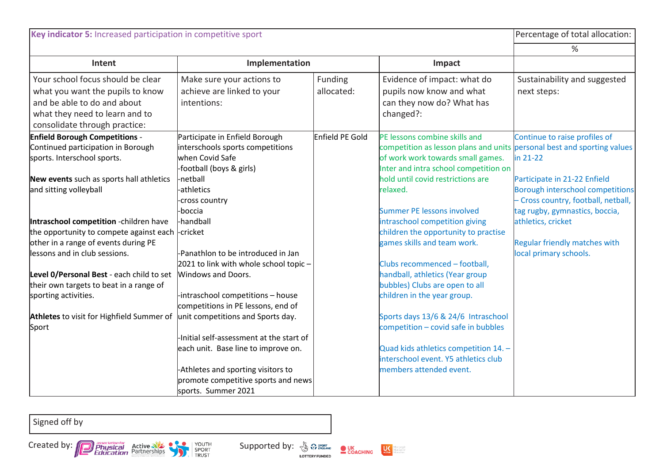| Key indicator 5: Increased participation in competitive sport                                                                                                           |                                                                                                                                         |                        |                                                                                                                                                                                        | Percentage of total allocation:                                                                                                                  |
|-------------------------------------------------------------------------------------------------------------------------------------------------------------------------|-----------------------------------------------------------------------------------------------------------------------------------------|------------------------|----------------------------------------------------------------------------------------------------------------------------------------------------------------------------------------|--------------------------------------------------------------------------------------------------------------------------------------------------|
|                                                                                                                                                                         |                                                                                                                                         |                        |                                                                                                                                                                                        | %                                                                                                                                                |
| Intent                                                                                                                                                                  | Implementation                                                                                                                          |                        | Impact                                                                                                                                                                                 |                                                                                                                                                  |
| Your school focus should be clear<br>what you want the pupils to know<br>and be able to do and about<br>what they need to learn and to<br>consolidate through practice: | Make sure your actions to<br>achieve are linked to your<br>intentions:                                                                  | Funding<br>allocated:  | Evidence of impact: what do<br>pupils now know and what<br>can they now do? What has<br>changed?:                                                                                      | Sustainability and suggested<br>next steps:                                                                                                      |
| <b>Enfield Borough Competitions -</b><br>Continued participation in Borough<br>sports. Interschool sports.                                                              | Participate in Enfield Borough<br>interschools sports competitions<br>when Covid Safe<br>-football (boys & girls)                       | <b>Enfield PE Gold</b> | PE lessons combine skills and<br>competition as lesson plans and units personal best and sporting values<br>of work work towards small games.<br>Inter and intra school competition on | Continue to raise profiles of<br>in 21-22                                                                                                        |
| New events such as sports hall athletics<br>and sitting volleyball                                                                                                      | -netball<br>-athletics<br>-cross country<br>-boccia                                                                                     |                        | hold until covid restrictions are<br>relaxed.<br>Summer PE lessons involved                                                                                                            | Participate in 21-22 Enfield<br><b>Borough interschool competitions</b><br>- Cross country, football, netball,<br>tag rugby, gymnastics, boccia, |
| Intraschool competition -children have<br>the opportunity to compete against each -cricket<br>other in a range of events during PE<br>lessons and in club sessions.     | -handball<br>-Panathlon to be introduced in Jan<br>2021 to link with whole school topic -                                               |                        | intraschool competition giving<br>children the opportunity to practise<br>games skills and team work.<br>Clubs recommenced - football,                                                 | athletics, cricket<br><b>Regular friendly matches with</b><br>local primary schools.                                                             |
| Level O/Personal Best - each child to set<br>their own targets to beat in a range of<br>sporting activities.                                                            | Windows and Doors.<br>-intraschool competitions - house<br>competitions in PE lessons, end of                                           |                        | handball, athletics (Year group<br>bubbles) Clubs are open to all<br>children in the year group.                                                                                       |                                                                                                                                                  |
| <b>Athletes</b> to visit for Highfield Summer of<br>Sport                                                                                                               | unit competitions and Sports day.<br>-Initial self-assessment at the start of                                                           |                        | Sports days 13/6 & 24/6 Intraschool<br>competition - covid safe in bubbles                                                                                                             |                                                                                                                                                  |
|                                                                                                                                                                         | each unit. Base line to improve on.<br>-Athletes and sporting visitors to<br>promote competitive sports and news<br>sports. Summer 2021 |                        | Quad kids athletics competition 14. -<br>interschool event. Y5 athletics club<br>members attended event.                                                                               |                                                                                                                                                  |

Signed off by